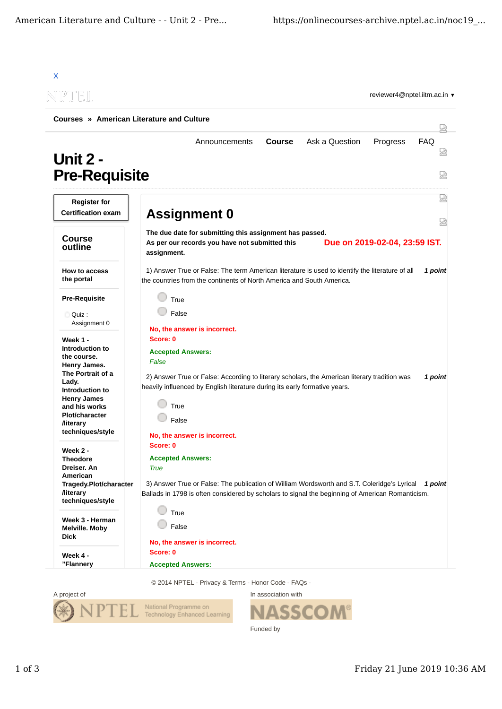

© 2014 NPTEL - Privacy & Terms - Honor Code - FAQs -



SSCO Funded by

In association with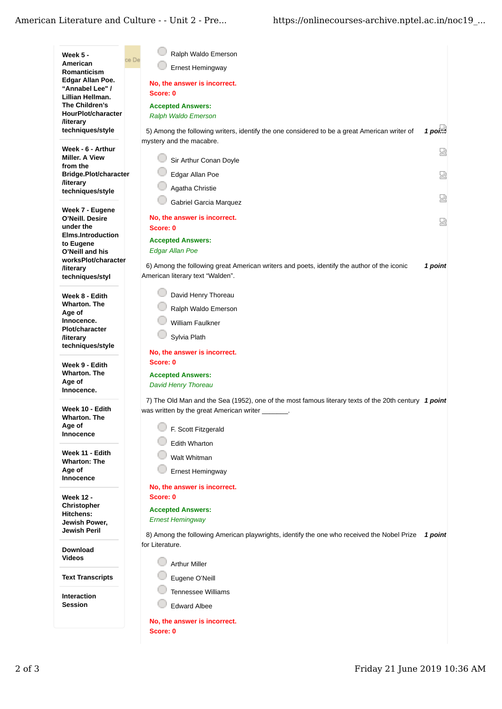| <b>Week 5 -</b>                           | Ralph Waldo Emerson                                                                                                            |           |
|-------------------------------------------|--------------------------------------------------------------------------------------------------------------------------------|-----------|
| American<br>Romanticism                   | ce De<br><b>Ernest Hemingway</b>                                                                                               |           |
| Edgar Allan Poe.                          | No, the answer is incorrect.                                                                                                   |           |
| "Annabel Lee" /                           | Score: 0                                                                                                                       |           |
| Lillian Hellman.<br>The Children's        | <b>Accepted Answers:</b>                                                                                                       |           |
| HourPlot/character                        | Ralph Waldo Emerson                                                                                                            |           |
| <b>/literary</b><br>techniques/style      | 5) Among the following writers, identify the one considered to be a great American writer of                                   | $1$ point |
|                                           | mystery and the macabre.                                                                                                       |           |
| Week - 6 - Arthur                         |                                                                                                                                | 요         |
| Miller, A View<br>from the                | Sir Arthur Conan Doyle                                                                                                         |           |
| Bridge.Plot/character                     | Edgar Allan Poe                                                                                                                | 덣         |
| <b>/literary</b><br>techniques/style      | Agatha Christie                                                                                                                |           |
|                                           | Gabriel Garcia Marquez                                                                                                         | 덣         |
| Week 7 - Eugene                           |                                                                                                                                |           |
| O'Neill. Desire<br>under the              | No, the answer is incorrect.<br>Score: 0                                                                                       | 쩒         |
| <b>Elms.Introduction</b>                  | <b>Accepted Answers:</b>                                                                                                       |           |
| to Eugene<br>O'Neill and his              | <b>Edgar Allan Poe</b>                                                                                                         |           |
| worksPlot/character                       |                                                                                                                                |           |
| <b>/literary</b><br>techniques/styl       | 6) Among the following great American writers and poets, identify the author of the iconic<br>American literary text "Walden". | 1 point   |
|                                           |                                                                                                                                |           |
| Week 8 - Edith                            | David Henry Thoreau                                                                                                            |           |
| Wharton. The<br>Age of                    | Ralph Waldo Emerson                                                                                                            |           |
| Innocence.                                | William Faulkner                                                                                                               |           |
| <b>Plot/character</b><br><b>/literary</b> | Sylvia Plath                                                                                                                   |           |
| techniques/style                          |                                                                                                                                |           |
|                                           | No, the answer is incorrect.<br>Score: 0                                                                                       |           |
| Week 9 - Edith<br><b>Wharton. The</b>     | <b>Accepted Answers:</b>                                                                                                       |           |
| Age of                                    | <b>David Henry Thoreau</b>                                                                                                     |           |
| Innocence.                                | 7) The Old Man and the Sea (1952), one of the most famous literary texts of the 20th century 1 point                           |           |
| Week 10 - Edith                           | was written by the great American writer _______.                                                                              |           |
| Wharton. The<br>Age of                    |                                                                                                                                |           |
| Innocence                                 | F. Scott Fitzgerald                                                                                                            |           |
|                                           | <b>Edith Wharton</b>                                                                                                           |           |
| Week 11 - Edith<br><b>Wharton: The</b>    | Walt Whitman                                                                                                                   |           |
| Age of                                    | <b>Ernest Hemingway</b>                                                                                                        |           |
| Innocence                                 | No, the answer is incorrect.                                                                                                   |           |
| <b>Week 12 -</b>                          | Score: 0                                                                                                                       |           |
| <b>Christopher</b>                        | <b>Accepted Answers:</b>                                                                                                       |           |
| <b>Hitchens:</b><br>Jewish Power,         | <b>Ernest Hemingway</b>                                                                                                        |           |
| Jewish Peril                              | 8) Among the following American playwrights, identify the one who received the Nobel Prize                                     | 1 point   |
| <b>Download</b>                           | for Literature.                                                                                                                |           |
| Videos                                    | <b>Arthur Miller</b>                                                                                                           |           |
|                                           |                                                                                                                                |           |
| <b>Text Transcripts</b>                   | Eugene O'Neill                                                                                                                 |           |
| Interaction                               | <b>Tennessee Williams</b>                                                                                                      |           |
| <b>Session</b>                            | <b>Edward Albee</b>                                                                                                            |           |
|                                           | No, the answer is incorrect.                                                                                                   |           |
|                                           | Score: 0                                                                                                                       |           |